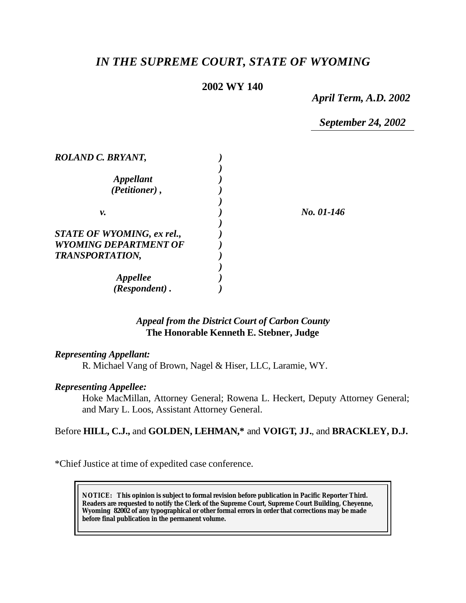# *IN THE SUPREME COURT, STATE OF WYOMING*

## **2002 WY 140**

*April Term, A.D. 2002*

*September 24, 2002*

| ROLAND C. BRYANT,                 |            |
|-----------------------------------|------------|
|                                   |            |
| Appellant                         |            |
| (Petitioner),                     |            |
|                                   |            |
| ν.                                | No. 01-146 |
|                                   |            |
| <b>STATE OF WYOMING, ex rel.,</b> |            |
| <b>WYOMING DEPARTMENT OF</b>      |            |
| <b>TRANSPORTATION,</b>            |            |
|                                   |            |
| <i><b>Appellee</b></i>            |            |
| (Respondent).                     |            |

### *Appeal from the District Court of Carbon County* **The Honorable Kenneth E. Stebner, Judge**

#### *Representing Appellant:*

R. Michael Vang of Brown, Nagel & Hiser, LLC, Laramie, WY.

#### *Representing Appellee:*

Hoke MacMillan, Attorney General; Rowena L. Heckert, Deputy Attorney General; and Mary L. Loos, Assistant Attorney General.

## Before **HILL, C.J.,** and **GOLDEN, LEHMAN,\*** and **VOIGT, JJ.**, and **BRACKLEY, D.J.**

\*Chief Justice at time of expedited case conference.

**NOTICE:** *This opinion is subject to formal revision before publication in Pacific Reporter Third. Readers are requested to notify the Clerk of the Supreme Court, Supreme Court Building, Cheyenne, Wyoming 82002 of any typographical or other formal errors in order that corrections may be made before final publication in the permanent volume.*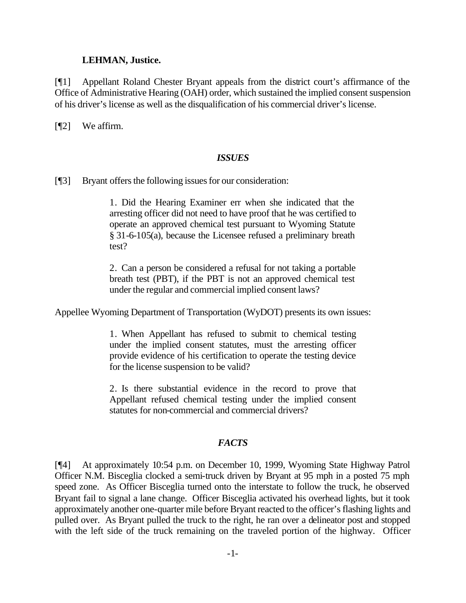#### **LEHMAN, Justice.**

[¶1] Appellant Roland Chester Bryant appeals from the district court's affirmance of the Office of Administrative Hearing (OAH) order, which sustained the implied consent suspension of his driver's license as well as the disqualification of his commercial driver's license.

[**[**[2] We affirm.

#### *ISSUES*

[¶3] Bryant offers the following issues for our consideration:

1. Did the Hearing Examiner err when she indicated that the arresting officer did not need to have proof that he was certified to operate an approved chemical test pursuant to Wyoming Statute § 31-6-105(a), because the Licensee refused a preliminary breath test?

2. Can a person be considered a refusal for not taking a portable breath test (PBT), if the PBT is not an approved chemical test under the regular and commercial implied consent laws?

Appellee Wyoming Department of Transportation (WyDOT) presents its own issues:

1. When Appellant has refused to submit to chemical testing under the implied consent statutes, must the arresting officer provide evidence of his certification to operate the testing device for the license suspension to be valid?

2. Is there substantial evidence in the record to prove that Appellant refused chemical testing under the implied consent statutes for non-commercial and commercial drivers?

#### *FACTS*

[¶4] At approximately 10:54 p.m. on December 10, 1999, Wyoming State Highway Patrol Officer N.M. Bisceglia clocked a semi-truck driven by Bryant at 95 mph in a posted 75 mph speed zone. As Officer Bisceglia turned onto the interstate to follow the truck, he observed Bryant fail to signal a lane change. Officer Bisceglia activated his overhead lights, but it took approximately another one-quarter mile before Bryant reacted to the officer's flashing lights and pulled over. As Bryant pulled the truck to the right, he ran over a delineator post and stopped with the left side of the truck remaining on the traveled portion of the highway. Officer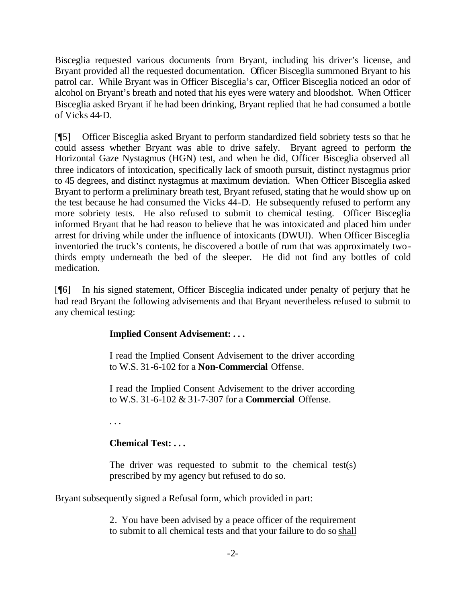Bisceglia requested various documents from Bryant, including his driver's license, and Bryant provided all the requested documentation. Officer Bisceglia summoned Bryant to his patrol car. While Bryant was in Officer Bisceglia's car, Officer Bisceglia noticed an odor of alcohol on Bryant's breath and noted that his eyes were watery and bloodshot. When Officer Bisceglia asked Bryant if he had been drinking, Bryant replied that he had consumed a bottle of Vicks 44-D.

[¶5] Officer Bisceglia asked Bryant to perform standardized field sobriety tests so that he could assess whether Bryant was able to drive safely. Bryant agreed to perform the Horizontal Gaze Nystagmus (HGN) test, and when he did, Officer Bisceglia observed all three indicators of intoxication, specifically lack of smooth pursuit, distinct nystagmus prior to 45 degrees, and distinct nystagmus at maximum deviation. When Officer Bisceglia asked Bryant to perform a preliminary breath test, Bryant refused, stating that he would show up on the test because he had consumed the Vicks 44-D. He subsequently refused to perform any more sobriety tests. He also refused to submit to chemical testing. Officer Bisceglia informed Bryant that he had reason to believe that he was intoxicated and placed him under arrest for driving while under the influence of intoxicants (DWUI). When Officer Bisceglia inventoried the truck's contents, he discovered a bottle of rum that was approximately twothirds empty underneath the bed of the sleeper. He did not find any bottles of cold medication.

[¶6] In his signed statement, Officer Bisceglia indicated under penalty of perjury that he had read Bryant the following advisements and that Bryant nevertheless refused to submit to any chemical testing:

# **Implied Consent Advisement: . . .**

I read the Implied Consent Advisement to the driver according to W.S. 31-6-102 for a **Non-Commercial** Offense.

I read the Implied Consent Advisement to the driver according to W.S. 31-6-102 & 31-7-307 for a **Commercial** Offense.

. . .

# **Chemical Test: . . .**

The driver was requested to submit to the chemical test(s) prescribed by my agency but refused to do so.

Bryant subsequently signed a Refusal form, which provided in part:

2. You have been advised by a peace officer of the requirement to submit to all chemical tests and that your failure to do so shall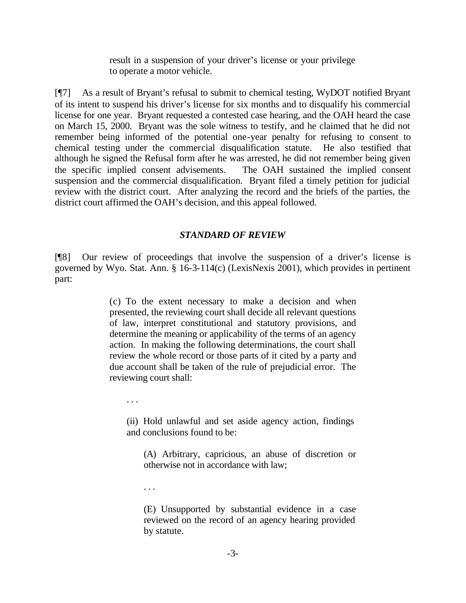result in a suspension of your driver's license or your privilege to operate a motor vehicle.

[¶7] As a result of Bryant's refusal to submit to chemical testing, WyDOT notified Bryant of its intent to suspend his driver's license for six months and to disqualify his commercial license for one year. Bryant requested a contested case hearing, and the OAH heard the case on March 15, 2000. Bryant was the sole witness to testify, and he claimed that he did not remember being informed of the potential one-year penalty for refusing to consent to chemical testing under the commercial disqualification statute. He also testified that although he signed the Refusal form after he was arrested, he did not remember being given the specific implied consent advisements. The OAH sustained the implied consent suspension and the commercial disqualification. Bryant filed a timely petition for judicial review with the district court. After analyzing the record and the briefs of the parties, the district court affirmed the OAH's decision, and this appeal followed.

#### *STANDARD OF REVIEW*

[¶8] Our review of proceedings that involve the suspension of a driver's license is governed by Wyo. Stat. Ann. § 16-3-114(c) (LexisNexis 2001), which provides in pertinent part:

> (c) To the extent necessary to make a decision and when presented, the reviewing court shall decide all relevant questions of law, interpret constitutional and statutory provisions, and determine the meaning or applicability of the terms of an agency action. In making the following determinations, the court shall review the whole record or those parts of it cited by a party and due account shall be taken of the rule of prejudicial error. The reviewing court shall:

. . .

(ii) Hold unlawful and set aside agency action, findings and conclusions found to be:

(A) Arbitrary, capricious, an abuse of discretion or otherwise not in accordance with law;

. . .

(E) Unsupported by substantial evidence in a case reviewed on the record of an agency hearing provided by statute.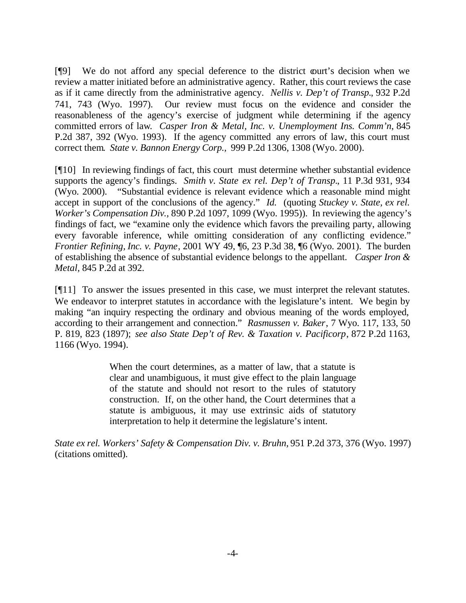[¶9] We do not afford any special deference to the district court's decision when we review a matter initiated before an administrative agency. Rather, this court reviews the case as if it came directly from the administrative agency. *Nellis v. Dep't of Transp.*, 932 P.2d 741, 743 (Wyo. 1997). Our review must focus on the evidence and consider the reasonableness of the agency's exercise of judgment while determining if the agency committed errors of law*. Casper Iron & Metal, Inc. v. Unemployment Ins. Comm'n*, 845 P.2d 387, 392 (Wyo. 1993). If the agency committed any errors of law, this court must correct them*. State v. Bannon Energy Corp.,* 999 P.2d 1306, 1308 (Wyo. 2000).

[¶10] In reviewing findings of fact, this court must determine whether substantial evidence supports the agency's findings. *Smith v. State ex rel. Dep't of Transp.*, 11 P.3d 931, 934 (Wyo. 2000). "Substantial evidence is relevant evidence which a reasonable mind might accept in support of the conclusions of the agency." *Id.* (quoting *Stuckey v. State, ex rel. Worker's Compensation Div.,* 890 P.2d 1097, 1099 (Wyo. 1995)). In reviewing the agency's findings of fact, we "examine only the evidence which favors the prevailing party, allowing every favorable inference, while omitting consideration of any conflicting evidence." *Frontier Refining, Inc. v. Payne*, 2001 WY 49, ¶6, 23 P.3d 38, ¶6 (Wyo. 2001). The burden of establishing the absence of substantial evidence belongs to the appellant. *Casper Iron & Metal,* 845 P.2d at 392.

[¶11] To answer the issues presented in this case, we must interpret the relevant statutes. We endeavor to interpret statutes in accordance with the legislature's intent. We begin by making "an inquiry respecting the ordinary and obvious meaning of the words employed, according to their arrangement and connection." *Rasmussen v. Baker*, 7 Wyo. 117, 133, 50 P. 819, 823 (1897); *see also State Dep't of Rev. & Taxation v. Pacificorp*, 872 P.2d 1163, 1166 (Wyo. 1994).

> When the court determines, as a matter of law, that a statute is clear and unambiguous, it must give effect to the plain language of the statute and should not resort to the rules of statutory construction. If, on the other hand, the Court determines that a statute is ambiguous, it may use extrinsic aids of statutory interpretation to help it determine the legislature's intent.

*State ex rel. Workers' Safety & Compensation Div. v. Bruhn,* 951 P.2d 373, 376 (Wyo. 1997) (citations omitted).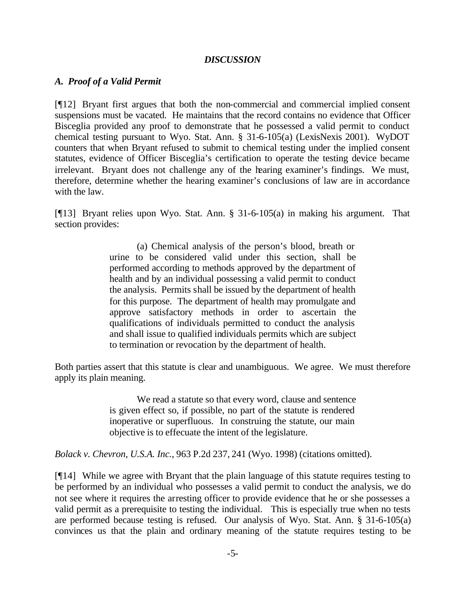#### *DISCUSSION*

### *A. Proof of a Valid Permit*

[¶12] Bryant first argues that both the non-commercial and commercial implied consent suspensions must be vacated. He maintains that the record contains no evidence that Officer Bisceglia provided any proof to demonstrate that he possessed a valid permit to conduct chemical testing pursuant to Wyo. Stat. Ann. § 31-6-105(a) (LexisNexis 2001). WyDOT counters that when Bryant refused to submit to chemical testing under the implied consent statutes, evidence of Officer Bisceglia's certification to operate the testing device became irrelevant. Bryant does not challenge any of the hearing examiner's findings. We must, therefore, determine whether the hearing examiner's conclusions of law are in accordance with the law.

[¶13] Bryant relies upon Wyo. Stat. Ann. § 31-6-105(a) in making his argument. That section provides:

> (a) Chemical analysis of the person's blood, breath or urine to be considered valid under this section, shall be performed according to methods approved by the department of health and by an individual possessing a valid permit to conduct the analysis. Permits shall be issued by the department of health for this purpose. The department of health may promulgate and approve satisfactory methods in order to ascertain the qualifications of individuals permitted to conduct the analysis and shall issue to qualified individuals permits which are subject to termination or revocation by the department of health.

Both parties assert that this statute is clear and unambiguous. We agree. We must therefore apply its plain meaning.

> We read a statute so that every word, clause and sentence is given effect so, if possible, no part of the statute is rendered inoperative or superfluous. In construing the statute, our main objective is to effecuate the intent of the legislature.

*Bolack v. Chevron, U.S.A. Inc.*, 963 P.2d 237, 241 (Wyo. 1998) (citations omitted).

[¶14] While we agree with Bryant that the plain language of this statute requires testing to be performed by an individual who possesses a valid permit to conduct the analysis, we do not see where it requires the arresting officer to provide evidence that he or she possesses a valid permit as a prerequisite to testing the individual. This is especially true when no tests are performed because testing is refused. Our analysis of Wyo. Stat. Ann. § 31-6-105(a) convinces us that the plain and ordinary meaning of the statute requires testing to be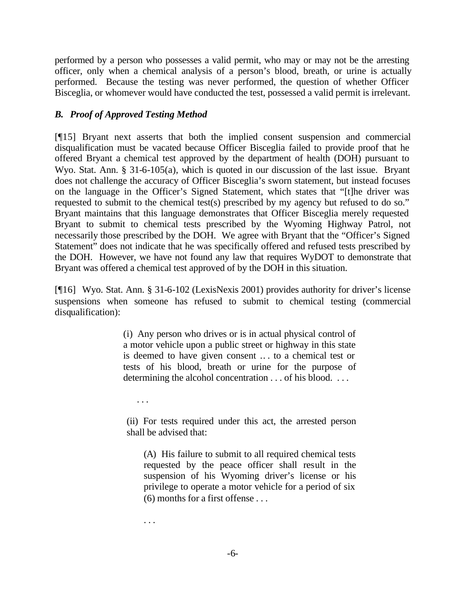performed by a person who possesses a valid permit, who may or may not be the arresting officer, only when a chemical analysis of a person's blood, breath, or urine is actually performed. Because the testing was never performed, the question of whether Officer Bisceglia, or whomever would have conducted the test, possessed a valid permit is irrelevant.

# *B. Proof of Approved Testing Method*

[¶15] Bryant next asserts that both the implied consent suspension and commercial disqualification must be vacated because Officer Bisceglia failed to provide proof that he offered Bryant a chemical test approved by the department of health (DOH) pursuant to Wyo. Stat. Ann. § 31-6-105(a), which is quoted in our discussion of the last issue. Bryant does not challenge the accuracy of Officer Bisceglia's sworn statement, but instead focuses on the language in the Officer's Signed Statement, which states that "[t]he driver was requested to submit to the chemical test(s) prescribed by my agency but refused to do so." Bryant maintains that this language demonstrates that Officer Bisceglia merely requested Bryant to submit to chemical tests prescribed by the Wyoming Highway Patrol, not necessarily those prescribed by the DOH. We agree with Bryant that the "Officer's Signed Statement" does not indicate that he was specifically offered and refused tests prescribed by the DOH. However, we have not found any law that requires WyDOT to demonstrate that Bryant was offered a chemical test approved of by the DOH in this situation.

[¶16] Wyo. Stat. Ann. § 31-6-102 (LexisNexis 2001) provides authority for driver's license suspensions when someone has refused to submit to chemical testing (commercial disqualification):

> (i) Any person who drives or is in actual physical control of a motor vehicle upon a public street or highway in this state is deemed to have given consent .. . to a chemical test or tests of his blood, breath or urine for the purpose of determining the alcohol concentration . . . of his blood. . . .

. . .

(ii) For tests required under this act, the arrested person shall be advised that:

(A) His failure to submit to all required chemical tests requested by the peace officer shall result in the suspension of his Wyoming driver's license or his privilege to operate a motor vehicle for a period of six (6) months for a first offense . . .

. . .